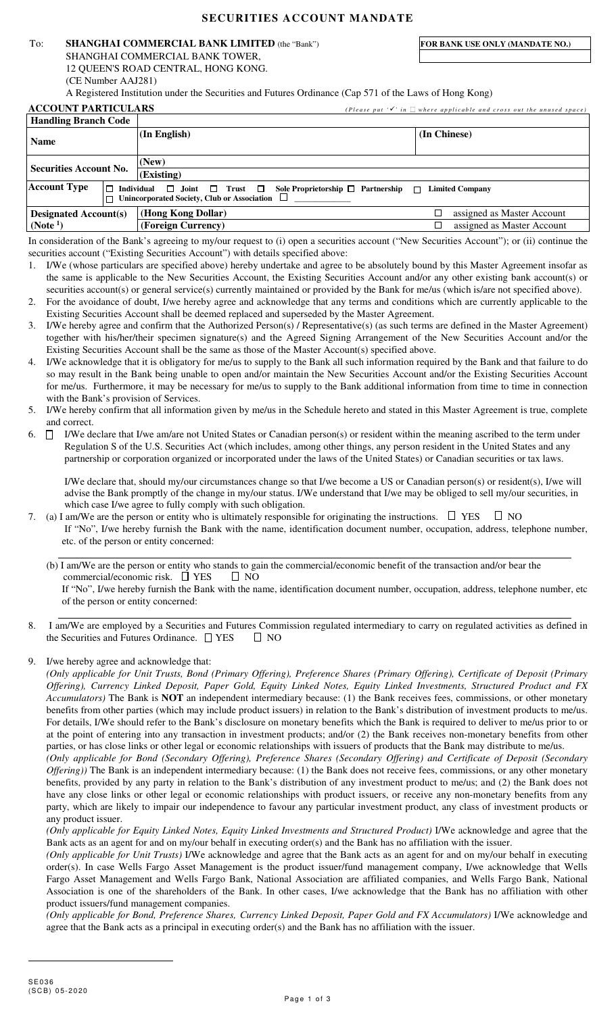# **SECURITIES ACCOUNT MANDATE**

## To: **SHANGHAI COMMERCIAL BANK LIMITED** (the "Bank") **FOR BANK USE ONLY (MANDATE NO.)**

 SHANGHAI COMMERCIAL BANK TOWER, 12 QUEEN'S ROAD CENTRAL, HONG KONG. (CE Number AAJ281)

A Registered Institution under the Securities and Futures Ordinance (Cap 571 of the Laws of Hong Kong)

| <b>ACCOUNT PARTICULARS</b>    |                   | (Please put $\mathscr{I}'$ in where applicable and cross out the unused space)                                                          |  |                            |  |
|-------------------------------|-------------------|-----------------------------------------------------------------------------------------------------------------------------------------|--|----------------------------|--|
| <b>Handling Branch Code</b>   |                   |                                                                                                                                         |  |                            |  |
| <b>Name</b>                   |                   | (In English)                                                                                                                            |  | (In Chinese)               |  |
| <b>Securities Account No.</b> |                   | (New)                                                                                                                                   |  |                            |  |
|                               |                   | (Existing)                                                                                                                              |  |                            |  |
| <b>Account Type</b>           | $\Box$ Individual | $\Box$ Joint $\Box$ Trust $\Box$<br>Sole Proprietorship $\Box$ Partnership $\Box$<br>$\Box$ Unincorporated Society, Club or Association |  | <b>Limited Company</b>     |  |
| <b>Designated Account(s)</b>  |                   | (Hong Kong Dollar)                                                                                                                      |  | assigned as Master Account |  |

| $\approx$ comparation recovering (b) |                                                                                                                                             |                            |
|--------------------------------------|---------------------------------------------------------------------------------------------------------------------------------------------|----------------------------|
| $\vert$ (Note <sup>1</sup> )         | (Foreign Currency)                                                                                                                          | assigned as Master Account |
|                                      | In consideration of the Bank's agreeing to my/our request to (i) open a securities account ("New Securities Account"); or (ii) continue the |                            |

securities account ("Existing Securities Account") with details specified above:

- 1. I/We (whose particulars are specified above) hereby undertake and agree to be absolutely bound by this Master Agreement insofar as the same is applicable to the New Securities Account, the Existing Securities Account and/or any other existing bank account(s) or securities account(s) or general service(s) currently maintained or provided by the Bank for me/us (which is/are not specified above).
- 2. For the avoidance of doubt, I/we hereby agree and acknowledge that any terms and conditions which are currently applicable to the Existing Securities Account shall be deemed replaced and superseded by the Master Agreement.
- 3. I/We hereby agree and confirm that the Authorized Person(s) / Representative(s) (as such terms are defined in the Master Agreement) together with his/her/their specimen signature(s) and the Agreed Signing Arrangement of the New Securities Account and/or the Existing Securities Account shall be the same as those of the Master Account(s) specified above.
- I/We acknowledge that it is obligatory for me/us to supply to the Bank all such information required by the Bank and that failure to do so may result in the Bank being unable to open and/or maintain the New Securities Account and/or the Existing Securities Account for me/us. Furthermore, it may be necessary for me/us to supply to the Bank additional information from time to time in connection with the Bank's provision of Services.
- 5. I/We hereby confirm that all information given by me/us in the Schedule hereto and stated in this Master Agreement is true, complete and correct.
- 6.  $\Box$  I/We declare that I/we am/are not United States or Canadian person(s) or resident within the meaning ascribed to the term under Regulation S of the U.S. Securities Act (which includes, among other things, any person resident in the United States and any partnership or corporation organized or incorporated under the laws of the United States) or Canadian securities or tax laws.

I/We declare that, should my/our circumstances change so that I/we become a US or Canadian person(s) or resident(s), I/we will advise the Bank promptly of the change in my/our status. I/We understand that I/we may be obliged to sell my/our securities, in which case I/we agree to fully comply with such obligation.

7. (a) I am/We are the person or entity who is ultimately responsible for originating the instructions.  $\Box$  YES  $\Box$  NO If "No", I/we hereby furnish the Bank with the name, identification document number, occupation, address, telephone number, etc. of the person or entity concerned:

(b) I am/We are the person or entity who stands to gain the commercial/economic benefit of the transaction and/or bear the commercial/economic risk.  $\square$  YES  $\square$  NO If "No", I/we hereby furnish the Bank with the name, identification document number, occupation, address, telephone number, etc of the person or entity concerned: l

8. I am/We are employed by a Securities and Futures Commission regulated intermediary to carry on regulated activities as defined in the Securities and Futures Ordinance.  $\Box$  YES  $\Box$  NO

9. I/we hereby agree and acknowledge that:

l

*(Only applicable for Unit Trusts, Bond (Primary Offering), Preference Shares (Primary Offering), Certificate of Deposit (Primary Offering), Currency Linked Deposit, Paper Gold, Equity Linked Notes, Equity Linked Investments, Structured Product and FX Accumulators)* The Bank is **NOT** an independent intermediary because: (1) the Bank receives fees, commissions, or other monetary benefits from other parties (which may include product issuers) in relation to the Bank's distribution of investment products to me/us. For details, I/We should refer to the Bank's disclosure on monetary benefits which the Bank is required to deliver to me/us prior to or at the point of entering into any transaction in investment products; and/or (2) the Bank receives non-monetary benefits from other parties, or has close links or other legal or economic relationships with issuers of products that the Bank may distribute to me/us.

*(Only applicable for Bond (Secondary Offering), Preference Shares (Secondary Offering) and Certificate of Deposit (Secondary Offering*)) The Bank is an independent intermediary because: (1) the Bank does not receive fees, commissions, or any other monetary benefits, provided by any party in relation to the Bank's distribution of any investment product to me/us; and (2) the Bank does not have any close links or other legal or economic relationships with product issuers, or receive any non-monetary benefits from any party, which are likely to impair our independence to favour any particular investment product, any class of investment products or any product issuer.

*(Only applicable for Equity Linked Notes, Equity Linked Investments and Structured Product)* I/We acknowledge and agree that the Bank acts as an agent for and on my/our behalf in executing order(s) and the Bank has no affiliation with the issuer.

*(Only applicable for Unit Trusts)* I/We acknowledge and agree that the Bank acts as an agent for and on my/our behalf in executing order(s). In case Wells Fargo Asset Management is the product issuer/fund management company, I/we acknowledge that Wells Fargo Asset Management and Wells Fargo Bank, National Association are affiliated companies, and Wells Fargo Bank, National Association is one of the shareholders of the Bank. In other cases, I/we acknowledge that the Bank has no affiliation with other product issuers/fund management companies.

*(Only applicable for Bond, Preference Shares, Currency Linked Deposit, Paper Gold and FX Accumulators)* I/We acknowledge and agree that the Bank acts as a principal in executing order(s) and the Bank has no affiliation with the issuer.

 $\overline{a}$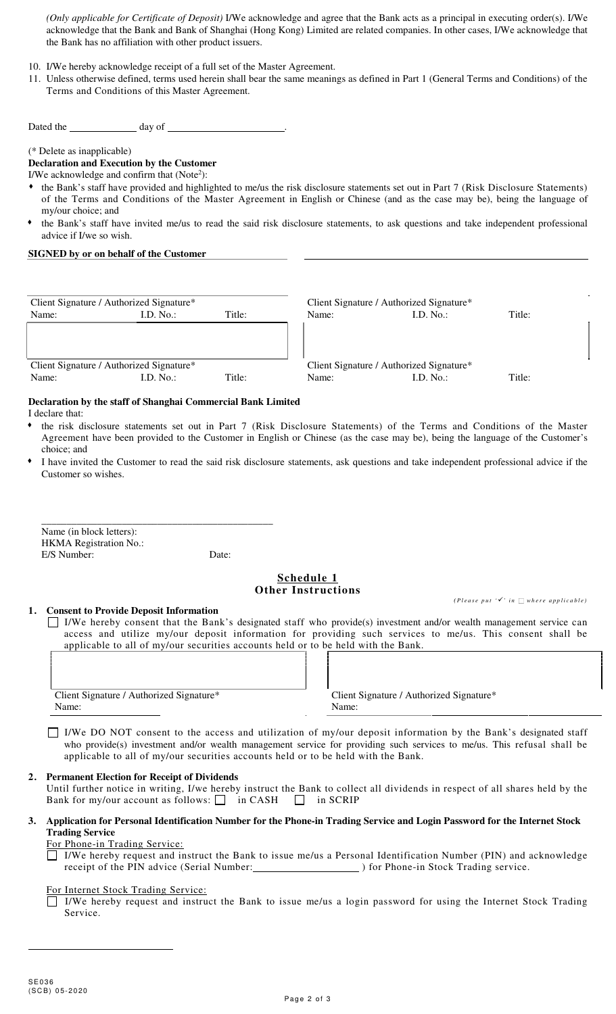*(Only applicable for Certificate of Deposit)* I/We acknowledge and agree that the Bank acts as a principal in executing order(s). I/We acknowledge that the Bank and Bank of Shanghai (Hong Kong) Limited are related companies. In other cases, I/We acknowledge that the Bank has no affiliation with other product issuers.

- 10. I/We hereby acknowledge receipt of a full set of the Master Agreement.
- 11. Unless otherwise defined, terms used herein shall bear the same meanings as defined in Part 1 (General Terms and Conditions) of the Terms and Conditions of this Master Agreement.

Dated the day of .

(\* Delete as inapplicable)

**Declaration and Execution by the Customer** 

I/We acknowledge and confirm that  $(Note<sup>2</sup>)$ :

- the Bank's staff have provided and highlighted to me/us the risk disclosure statements set out in Part 7 (Risk Disclosure Statements) of the Terms and Conditions of the Master Agreement in English or Chinese (and as the case may be), being the language of my/our choice; and
- the Bank's staff have invited me/us to read the said risk disclosure statements, to ask questions and take independent professional advice if I/we so wish.

## **SIGNED by or on behalf of the Customer**

| Client Signature / Authorized Signature* |                |                    | Client Signature / Authorized Signature* |                |        |
|------------------------------------------|----------------|--------------------|------------------------------------------|----------------|--------|
| Name:                                    | $[D N_0 \cdot$ | Title <sup>.</sup> | Name:                                    | $D$ No $\cdot$ | Fitle∙ |
|                                          |                |                    |                                          |                |        |
|                                          |                |                    |                                          |                |        |
| Client Signature / Authorized Signature* |                |                    | Client Signature / Authorized Signature* |                |        |
| Name:                                    | ID No ·        | Title:             | Name∙                                    | $D$ No $\cdot$ | `itle∙ |

#### **Declaration by the staff of Shanghai Commercial Bank Limited**  I declare that:

- the risk disclosure statements set out in Part 7 (Risk Disclosure Statements) of the Terms and Conditions of the Master Agreement have been provided to the Customer in English or Chinese (as the case may be), being the language of the Customer's choice; and
- I have invited the Customer to read the said risk disclosure statements, ask questions and take independent professional advice if the Customer so wishes.

| Name (in block letters):      |       |
|-------------------------------|-------|
| <b>HKMA</b> Registration No.: |       |
| E/S Number:                   | Date: |

# **Schedule 1 Other Instructions**

 $(P \mid \text{base put } ' \checkmark)' \text{ in } \square \text{ where applicable}$ 

**1. Consent to Provide Deposit Information**  I/We hereby consent that the Bank's designated staff who provide(s) investment and/or wealth management service can access and utilize my/our deposit information for providing such services to me/us. This consent shall be applicable to all of my/our securities accounts held or to be held with the Bank.

| Client Signature / Authorized Signature* | Client S |
|------------------------------------------|----------|
| Name:                                    | Name:    |

Client Signature / Authorized Signature\*

 I/We DO NOT consent to the access and utilization of my/our deposit information by the Bank's designated staff who provide(s) investment and/or wealth management service for providing such services to me/us. This refusal shall be applicable to all of my/our securities accounts held or to be held with the Bank.

## **2. Permanent Election for Receipt of Dividends**

Until further notice in writing, I/we hereby instruct the Bank to collect all dividends in respect of all shares held by the Bank for my/our account as follows:  $\Box$  in CASH in SCRIP

**3. Application for Personal Identification Number for the Phone-in Trading Service and Login Password for the Internet Stock Trading Service** 

#### For Phone-in Trading Service:

 I/We hereby request and instruct the Bank to issue me/us a Personal Identification Number (PIN) and acknowledge receipt of the PIN advice (Serial Number: ) for Phone-in Stock Trading service.

### For Internet Stock Trading Service:

 I/We hereby request and instruct the Bank to issue me/us a login password for using the Internet Stock Trading Service.

 $\overline{a}$